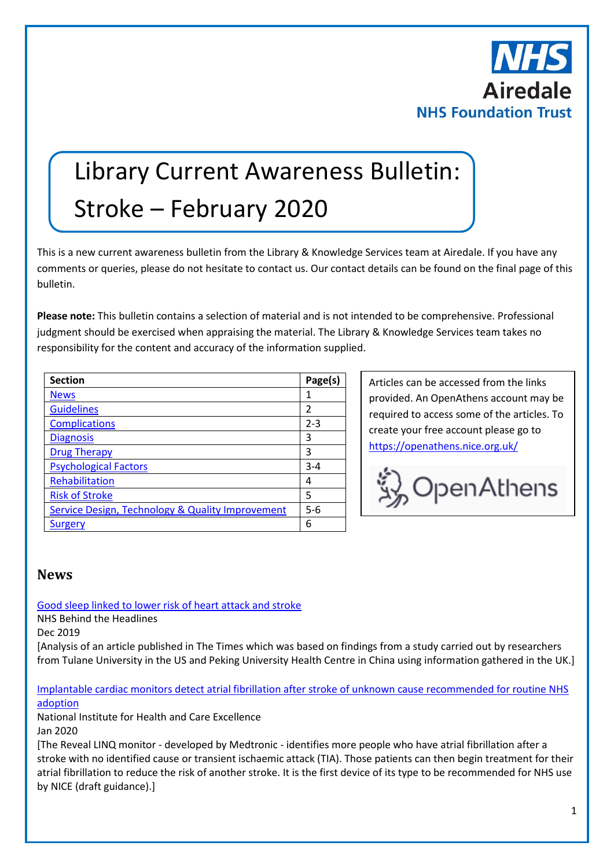

# Library Current Awareness Bulletin: Stroke – February 2020

This is a new current awareness bulletin from the Library & Knowledge Services team at Airedale. If you have any comments or queries, please do not hesitate to contact us. Our contact details can be found on the final page of this bulletin.

**Please note:** This bulletin contains a selection of material and is not intended to be comprehensive. Professional judgment should be exercised when appraising the material. The Library & Knowledge Services team takes no responsibility for the content and accuracy of the information supplied.

| <b>Section</b>                                   | Page(s) |
|--------------------------------------------------|---------|
| <b>News</b>                                      | 1       |
| <b>Guidelines</b>                                | 2       |
| <b>Complications</b>                             | $2 - 3$ |
| <b>Diagnosis</b>                                 | 3       |
| <b>Drug Therapy</b>                              | 3       |
| <b>Psychological Factors</b>                     | $3 - 4$ |
| Rehabilitation                                   | 4       |
| <b>Risk of Stroke</b>                            | 5       |
| Service Design, Technology & Quality Improvement | $5 - 6$ |
| Surgery                                          | 6       |

Articles can be accessed from the links provided. An OpenAthens account may be required to access some of the articles. To create your free account please go to <https://openathens.nice.org.uk/>



### <span id="page-0-0"></span>**News**

[Good sleep linked to lower risk of heart attack and stroke](https://www.nhs.uk/news/heart-and-lungs/good-sleep-linked-to-lower-risk-of-heart-attack-and-stroke/)

NHS Behind the Headlines

Dec 2019

[Analysis of an article published in The Times which was based on findings from a study carried out by researchers from Tulane University in the US and Peking University Health Centre in China using information gathered in the UK.]

#### [Implantable cardiac monitors detect atrial fibrillation after stroke of unknown cause recommended for routine NHS](https://www.nice.org.uk/news/article/implantable-cardiac-monitors-detect-atrial-fibrillation-after-stroke-of-unknown-cause-recommended-for-routine-nhs-adoption)  [adoption](https://www.nice.org.uk/news/article/implantable-cardiac-monitors-detect-atrial-fibrillation-after-stroke-of-unknown-cause-recommended-for-routine-nhs-adoption)

National Institute for Health and Care Excellence Jan 2020

[The Reveal LINQ monitor - developed by Medtronic - identifies more people who have atrial fibrillation after a stroke with no identified cause or transient ischaemic attack (TIA). Those patients can then begin treatment for their atrial fibrillation to reduce the risk of another stroke. It is the first device of its type to be recommended for NHS use by NICE (draft guidance).]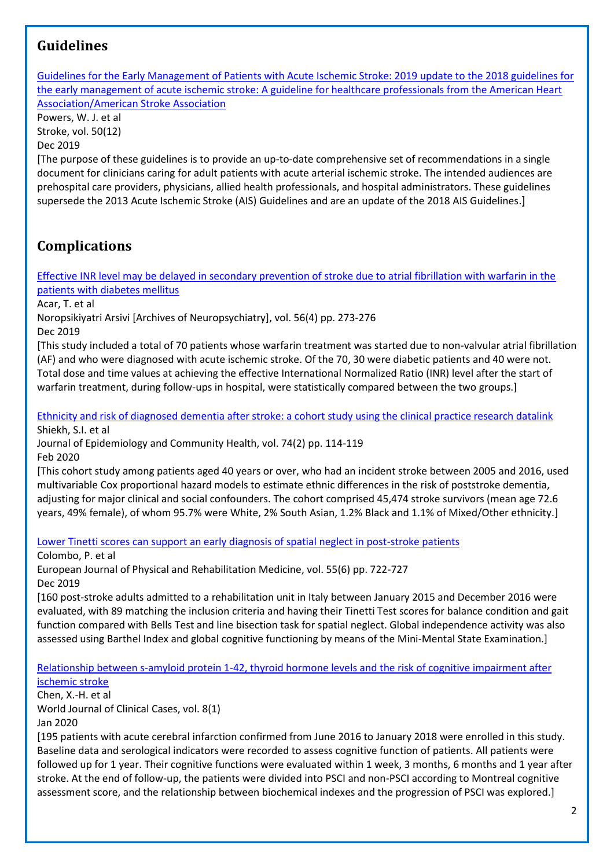# <span id="page-1-0"></span>**Guidelines**

[Guidelines for the Early Management of Patients with Acute Ischemic Stroke: 2019 update to the 2018 guidelines for](https://www.ahajournals.org/doi/full/10.1161/STR.0000000000000211)  [the early management of acute ischemic stroke: A guideline for healthcare professionals from the American Heart](https://www.ahajournals.org/doi/full/10.1161/STR.0000000000000211)  [Association/American Stroke Association](https://www.ahajournals.org/doi/full/10.1161/STR.0000000000000211)

Powers, W. J. et al Stroke, vol. 50(12)

Dec 2019

[The purpose of these guidelines is to provide an up-to-date comprehensive set of recommendations in a single document for clinicians caring for adult patients with acute arterial ischemic stroke. The intended audiences are prehospital care providers, physicians, allied health professionals, and hospital administrators. These guidelines supersede the 2013 Acute Ischemic Stroke (AIS) Guidelines and are an update of the 2018 AIS Guidelines.]

# <span id="page-1-1"></span>**Complications**

[Effective INR level may be delayed in secondary prevention of stroke due to atrial fibrillation with warfarin in the](https://www.ncbi.nlm.nih.gov/pmc/articles/PMC6927077/)  [patients with diabetes mellitus](https://www.ncbi.nlm.nih.gov/pmc/articles/PMC6927077/)

Acar, T. et al

Noropsikiyatri Arsivi [Archives of Neuropsychiatry], vol. 56(4) pp. 273-276

Dec 2019

[This study included a total of 70 patients whose warfarin treatment was started due to non-valvular atrial fibrillation (AF) and who were diagnosed with acute ischemic stroke. Of the 70, 30 were diabetic patients and 40 were not. Total dose and time values at achieving the effective International Normalized Ratio (INR) level after the start of warfarin treatment, during follow-ups in hospital, were statistically compared between the two groups.]

[Ethnicity and risk of diagnosed dementia after stroke: a cohort study using the clinical practice research datalink](https://jech.bmj.com/content/74/2/114) Shiekh, S.I. et al

Journal of Epidemiology and Community Health, vol. 74(2) pp. 114-119 Feb 2020

[This cohort study among patients aged 40 years or over, who had an incident stroke between 2005 and 2016, used multivariable Cox proportional hazard models to estimate ethnic differences in the risk of poststroke dementia, adjusting for major clinical and social confounders. The cohort comprised 45,474 stroke survivors (mean age 72.6 years, 49% female), of whom 95.7% were White, 2% South Asian, 1.2% Black and 1.1% of Mixed/Other ethnicity.]

[Lower Tinetti scores can support an early diagnosis of spatial neglect in post-stroke patients](https://www.minervamedica.it/en/journals/europa-medicophysica/article.php?cod=R33Y2019N06A0722)

Colombo, P. et al

European Journal of Physical and Rehabilitation Medicine, vol. 55(6) pp. 722-727 Dec 2019

[160 post-stroke adults admitted to a rehabilitation unit in Italy between January 2015 and December 2016 were evaluated, with 89 matching the inclusion criteria and having their Tinetti Test scores for balance condition and gait function compared with Bells Test and line bisection task for spatial neglect. Global independence activity was also assessed using Barthel Index and global cognitive functioning by means of the Mini-Mental State Examination.]

[Relationship between s-amyloid protein 1-42, thyroid hormone levels and the risk of cognitive impairment after](https://www.ncbi.nlm.nih.gov/pmc/articles/PMC6962069/)  [ischemic stroke](https://www.ncbi.nlm.nih.gov/pmc/articles/PMC6962069/)

Chen, X.-H. et al

World Journal of Clinical Cases, vol. 8(1)

Jan 2020

[195 patients with acute cerebral infarction confirmed from June 2016 to January 2018 were enrolled in this study. Baseline data and serological indicators were recorded to assess cognitive function of patients. All patients were followed up for 1 year. Their cognitive functions were evaluated within 1 week, 3 months, 6 months and 1 year after stroke. At the end of follow-up, the patients were divided into PSCI and non-PSCI according to Montreal cognitive assessment score, and the relationship between biochemical indexes and the progression of PSCI was explored.]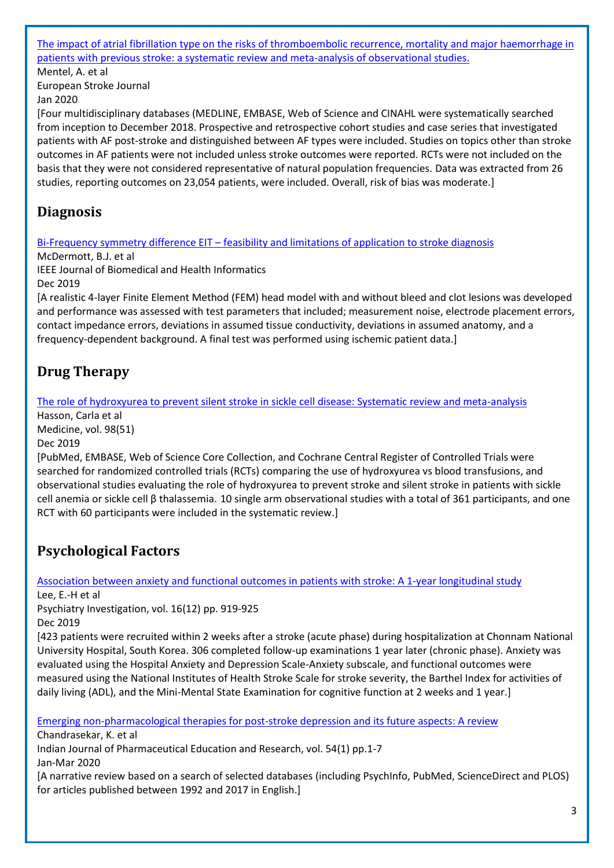### [The impact of atrial fibrillation type on the risks of thromboembolic recurrence, mortality and major haemorrhage in](https://journals.sagepub.com/doi/full/10.1177/2396987319896674)  [patients with previous stroke: a systematic review and meta-analysis of observational studies.](https://journals.sagepub.com/doi/full/10.1177/2396987319896674)

Mentel, A. et al European Stroke Journal Jan 2020

[Four multidisciplinary databases (MEDLINE, EMBASE, Web of Science and CINAHL were systematically searched from inception to December 2018. Prospective and retrospective cohort studies and case series that investigated patients with AF post-stroke and distinguished between AF types were included. Studies on topics other than stroke outcomes in AF patients were not included unless stroke outcomes were reported. RCTs were not included on the basis that they were not considered representative of natural population frequencies. Data was extracted from 26 studies, reporting outcomes on 23,054 patients, were included. Overall, risk of bias was moderate.]

### <span id="page-2-0"></span>**Diagnosis**

Bi-Frequency symmetry difference EIT – [feasibility and limitations of application to stroke diagnosis](https://aran.library.nuigalway.ie/bitstream/handle/10379/15663/BFSD_EIT_IEEE_R1_Final.pdf;jsessionid=FA3D562944BF98B4028D0CB7BC7936D9?sequence=1)

McDermott, B.J. et al

IEEE Journal of Biomedical and Health Informatics

Dec 2019

[A realistic 4-layer Finite Element Method (FEM) head model with and without bleed and clot lesions was developed and performance was assessed with test parameters that included; measurement noise, electrode placement errors, contact impedance errors, deviations in assumed tissue conductivity, deviations in assumed anatomy, and a frequency-dependent background. A final test was performed using ischemic patient data.]

# <span id="page-2-1"></span>**Drug Therapy**

The role of hydroxyurea [to prevent silent stroke in sickle cell disease: Systematic review and meta-analysis](https://journals.lww.com/md-journal/FullText/2019/12200/The_role_of_hydroxyurea_to_prevent_silent_stroke.27.aspx)

Hasson, Carla et al Medicine, vol. 98(51)

Dec 2019

[PubMed, EMBASE, Web of Science Core Collection, and Cochrane Central Register of Controlled Trials were searched for randomized controlled trials (RCTs) comparing the use of hydroxyurea vs blood transfusions, and observational studies evaluating the role of hydroxyurea to prevent stroke and silent stroke in patients with sickle cell anemia or sickle cell β thalassemia. 10 single arm observational studies with a total of 361 participants, and one RCT with 60 participants were included in the systematic review.]

# <span id="page-2-2"></span>**Psychological Factors**

[Association between anxiety and functional outcomes in patients with stroke: A 1-year longitudinal study](https://www.psychiatryinvestigation.org/journal/view.php?doi=10.30773/pi.2019.0188)

Lee, E.-H et al

Psychiatry Investigation, vol. 16(12) pp. 919-925 Dec 2019

[423 patients were recruited within 2 weeks after a stroke (acute phase) during hospitalization at Chonnam National University Hospital, South Korea. 306 completed follow-up examinations 1 year later (chronic phase). Anxiety was evaluated using the Hospital Anxiety and Depression Scale-Anxiety subscale, and functional outcomes were measured using the National Institutes of Health Stroke Scale for stroke severity, the Barthel Index for activities of daily living (ADL), and the Mini-Mental State Examination for cognitive function at 2 weeks and 1 year.]

[Emerging non-pharmacological therapies for post-stroke depression and its future aspects: A review](http://ijper.org/article/1110)

Chandrasekar, K. et al Indian Journal of Pharmaceutical Education and Research, vol. 54(1) pp.1-7 Jan-Mar 2020 [A narrative review based on a search of selected databases (including PsychInfo, PubMed, ScienceDirect and PLOS) for articles published between 1992 and 2017 in English.]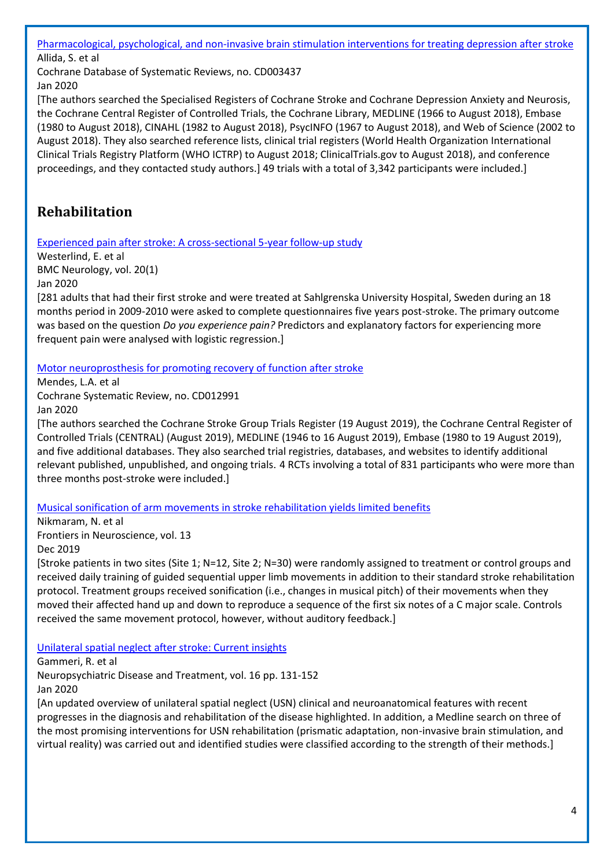[Pharmacological, psychological, and non-invasive brain stimulation interventions for treating depression after stroke](https://www.cochranelibrary.com/cdsr/doi/10.1002/14651858.CD003437.pub4/full?highlightAbstract=withdrawn%7Cstroke%7Cstrok) Allida, S. et al Cochrane Database of Systematic Reviews, no. CD003437

Jan 2020

[The authors searched the Specialised Registers of Cochrane Stroke and Cochrane Depression Anxiety and Neurosis, the Cochrane Central Register of Controlled Trials, the Cochrane Library, MEDLINE (1966 to August 2018), Embase (1980 to August 2018), CINAHL (1982 to August 2018), PsycINFO (1967 to August 2018), and Web of Science (2002 to August 2018). They also searched reference lists, clinical trial registers (World Health Organization International Clinical Trials Registry Platform (WHO ICTRP) to August 2018; ClinicalTrials.gov to August 2018), and conference proceedings, and they contacted study authors.] 49 trials with a total of 3,342 participants were included.]

# <span id="page-3-0"></span>**Rehabilitation**

[Experienced pain after stroke: A cross-sectional 5-year follow-up study](https://bmcneurol.biomedcentral.com/articles/10.1186/s12883-019-1584-z)

Westerlind, E. et al BMC Neurology, vol. 20(1) Jan 2020

[281 adults that had their first stroke and were treated at Sahlgrenska University Hospital, Sweden during an 18 months period in 2009-2010 were asked to complete questionnaires five years post-stroke. The primary outcome was based on the question *Do you experience pain?* Predictors and explanatory factors for experiencing more frequent pain were analysed with logistic regression.]

[Motor neuroprosthesis for promoting recovery of function after stroke](https://www.cochranelibrary.com/cdsr/doi/10.1002/14651858.CD012991.pub2/full?highlightAbstract=withdrawn%7Cstroke%7Cstrok)

Mendes, L.A. et al Cochrane Systematic Review, no. CD012991 Jan 2020

[The authors searched the Cochrane Stroke Group Trials Register (19 August 2019), the Cochrane Central Register of Controlled Trials (CENTRAL) (August 2019), MEDLINE (1946 to 16 August 2019), Embase (1980 to 19 August 2019), and five additional databases. They also searched trial registries, databases, and websites to identify additional relevant published, unpublished, and ongoing trials. 4 RCTs involving a total of 831 participants who were more than three months post-stroke were included.]

[Musical sonification of arm movements in stroke rehabilitation yields limited benefits](https://www.frontiersin.org/articles/10.3389/fnins.2019.01378/full)

Nikmaram, N. et al Frontiers in Neuroscience, vol. 13 Dec 2019

[Stroke patients in two sites (Site 1; N=12, Site 2; N=30) were randomly assigned to treatment or control groups and received daily training of guided sequential upper limb movements in addition to their standard stroke rehabilitation protocol. Treatment groups received sonification (i.e., changes in musical pitch) of their movements when they moved their affected hand up and down to reproduce a sequence of the first six notes of a C major scale. Controls received the same movement protocol, however, without auditory feedback.]

[Unilateral spatial neglect after stroke: Current insights](https://www.dovepress.com/unilateral-spatial-neglect-after-stroke-current-insights-peer-reviewed-article-NDT)

Gammeri, R. et al

Neuropsychiatric Disease and Treatment, vol. 16 pp. 131-152

Jan 2020

[An updated overview of unilateral spatial neglect (USN) clinical and neuroanatomical features with recent progresses in the diagnosis and rehabilitation of the disease highlighted. In addition, a Medline search on three of the most promising interventions for USN rehabilitation (prismatic adaptation, non-invasive brain stimulation, and virtual reality) was carried out and identified studies were classified according to the strength of their methods.]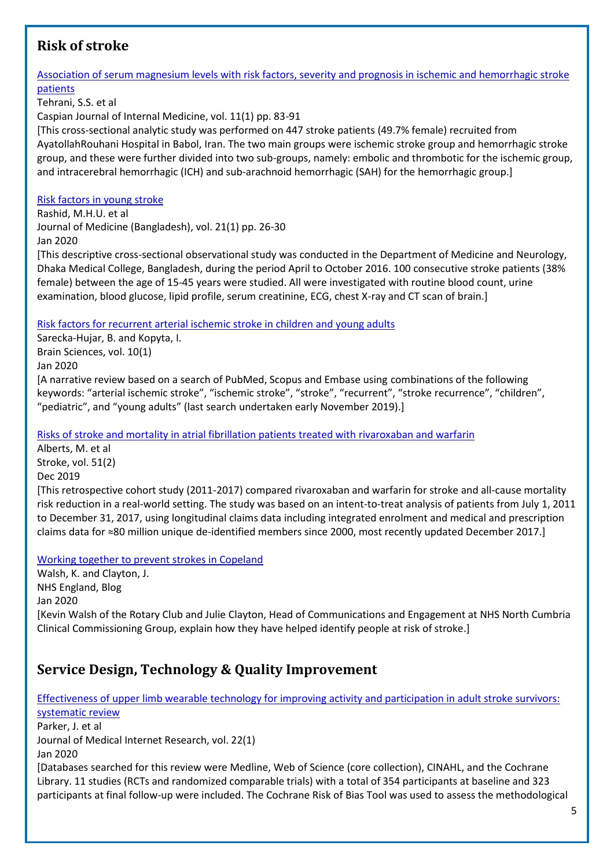# <span id="page-4-0"></span>**Risk of stroke**

### [Association of serum magnesium levels with risk factors, severity and prognosis in ischemic and hemorrhagic stroke](http://caspjim.com/article-1-1850-en.html)  [patients](http://caspjim.com/article-1-1850-en.html) Tehrani, S.S. et al Caspian Journal of Internal Medicine, vol. 11(1) pp. 83-91 [This cross-sectional analytic study was performed on 447 stroke patients (49.7% female) recruited from AyatollahRouhani Hospital in Babol, Iran. The two main groups were ischemic stroke group and hemorrhagic stroke group, and these were further divided into two sub-groups, namely: embolic and thrombotic for the ischemic group, and intracerebral hemorrhagic (ICH) and sub-arachnoid hemorrhagic (SAH) for the hemorrhagic group.] [Risk factors in young stroke](https://www.banglajol.info/index.php/JOM/article/view/44097)

Rashid, M.H.U. et al Journal of Medicine (Bangladesh), vol. 21(1) pp. 26-30 Jan 2020

[This descriptive cross-sectional observational study was conducted in the Department of Medicine and Neurology, Dhaka Medical College, Bangladesh, during the period April to October 2016. 100 consecutive stroke patients (38% female) between the age of 15-45 years were studied. All were investigated with routine blood count, urine examination, blood glucose, lipid profile, serum creatinine, ECG, chest X-ray and CT scan of brain.]

[Risk factors for recurrent arterial ischemic stroke in children and young adults](https://www.mdpi.com/2076-3425/10/1/24)

Sarecka-Hujar, B. and Kopyta, I. Brain Sciences, vol. 10(1) Jan 2020 [A narrative review based on a search of PubMed, Scopus and Embase using combinations of the following keywords: "arterial ischemic stroke", "ischemic stroke", "stroke", "recurrent", "stroke recurrence", "children", "pediatric", and "young adults" (last search undertaken early November 2019).]

[Risks of stroke and mortality in atrial fibrillation patients treated with](https://www.ahajournals.org/doi/10.1161/STROKEAHA.119.025554) rivaroxaban and warfarin

Alberts, M. et al Stroke, vol. 51(2) Dec 2019 [This retrospective cohort study (2011-2017) compared rivaroxaban and warfarin for stroke and all-cause mortality risk reduction in a real-world setting. The study was based on an intent-to-treat analysis of patients from July 1, 2011 to December 31, 2017, using longitudinal claims data including integrated enrolment and medical and prescription claims data for ≈80 million unique de-identified members since 2000, most recently updated December 2017.]

[Working together to prevent strokes in Copeland](https://www.england.nhs.uk/blog/working-together-to-prevent-strokes-in-copeland/)

Walsh, K. and Clayton, J. NHS England, Blog Jan 2020 [Kevin Walsh of the Rotary Club and Julie Clayton, Head of Communications and Engagement at NHS North Cumbria Clinical Commissioning Group, explain how they have helped identify people at risk of stroke.]

# <span id="page-4-1"></span>**Service Design, Technology & Quality Improvement**

[Effectiveness of upper limb wearable technology for improving activity and participation in adult stroke survivors:](https://www.jmir.org/2020/1/e15981/)  [systematic review](https://www.jmir.org/2020/1/e15981/) Parker, J. et al Journal of Medical Internet Research, vol. 22(1) Jan 2020 [Databases searched for this review were Medline, Web of Science (core collection), CINAHL, and the Cochrane Library. 11 studies (RCTs and randomized comparable trials) with a total of 354 participants at baseline and 323 participants at final follow-up were included. The Cochrane Risk of Bias Tool was used to assess the methodological